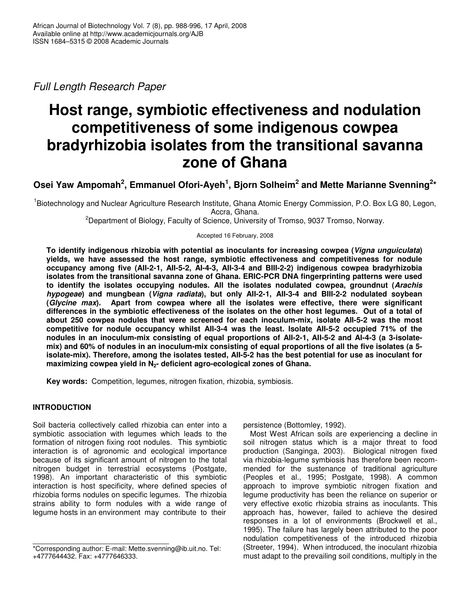*Full Length Research Paper*

# **Host range, symbiotic effectiveness and nodulation competitiveness of some indigenous cowpea bradyrhizobia isolates from the transitional savanna zone of Ghana**

# **Osei Yaw Ampomah 2 , Emmanuel Ofori-Ayeh 1 , Bjorn Solheim 2 and Mette Marianne Svenning 2 \***

<sup>1</sup>Biotechnology and Nuclear Agriculture Research Institute, Ghana Atomic Energy Commission, P.O. Box LG 80, Legon, Accra, Ghana.

<sup>2</sup>Department of Biology, Faculty of Science, University of Tromso, 9037 Tromso, Norway.

Accepted 16 February, 2008

**To identify indigenous rhizobia with potential as inoculants for increasing cowpea (***Vigna unguiculata***) yields, we have assessed the host range, symbiotic effectiveness and competitiveness for nodule occupancy among five (AII-2-1, AII-5-2, AI-4-3, AII-3-4 and BIII-2-2) indigenous cowpea bradyrhizobia isolates from the transitional savanna zone of Ghana. ERIC-PCR DNA fingerprinting patterns were used to identify the isolates occupying nodules. All the isolates nodulated cowpea, groundnut (***Arachis hypogeae***) and mungbean (***Vigna radiata***), but only AII-2-1, AII-3-4 and BIII-2-2 nodulated soybean (***Glycine max***). Apart from cowpea where all the isolates were effective, there were significant** differences in the symbiotic effectiveness of the isolates on the other host lequmes. Out of a total of **about 250 cowpea nodules that were screened for each inoculum-mix, isolate AII-5-2 was the most competitive for nodule occupancy whilst AII-3-4 was the least. Isolate AII-5-2 occupied 71% of the nodules in an inoculum-mix consisting of equal proportions of AII-2-1, AII-5-2 and AI-4-3 (a 3-isolate**mix) and 60% of nodules in an inoculum-mix consisting of equal proportions of all the five isolates (a 5**isolate-mix). Therefore, among the isolates tested, AII-5-2 has the best potential for use as inoculant for maximizing cowpea yield in N2- deficient agro-ecological zones of Ghana.**

**Key words:** Competition, legumes, nitrogen fixation, rhizobia, symbiosis.

# **INTRODUCTION**

Soil bacteria collectively called rhizobia can enter into a symbiotic association with legumes which leads to the formation of nitrogen fixing root nodules. This symbiotic interaction is of agronomic and ecological importance because of its significant amount of nitrogen to the total nitrogen budget in terrestrial ecosystems (Postgate, 1998). An important characteristic of this symbiotic interaction is host specificity, where defined species of rhizobia forms nodules on specific legumes. The rhizobia strains ability to form nodules with a wide range of legume hosts in an environment may contribute to their

persistence (Bottomley, 1992).

Most West African soils are experiencing a decline in soil nitrogen status which is a major threat to food production (Sanginga, 2003). Biological nitrogen fixed via rhizobia-legume symbiosis has therefore been recommended for the sustenance of traditional agriculture (Peoples et al., 1995; Postgate, 1998). A common approach to improve symbiotic nitrogen fixation and legume productivity has been the reliance on superior or very effective exotic rhizobia strains as inoculants. This approach has, however, failed to achieve the desired responses in a lot of environments (Brockwell et al., 1995). The failure has largely been attributed to the poor nodulation competitiveness of the introduced rhizobia (Streeter, 1994). When introduced, the inoculant rhizobia must adapt to the prevailing soil conditions, multiply in the

<sup>\*</sup>Corresponding author: E-mail: Mette.svenning@ib.uit.no. Tel: +4777644432. Fax: +4777646333.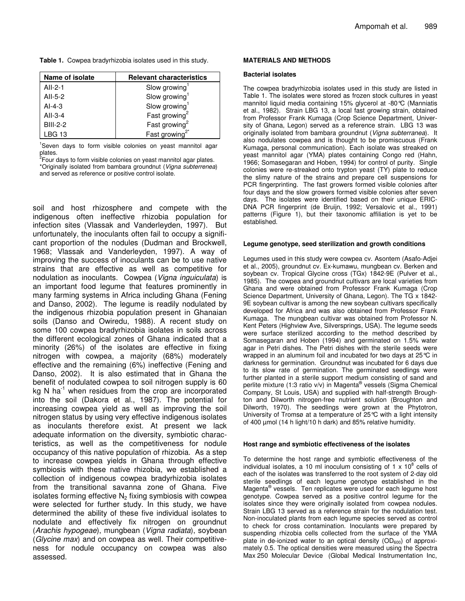|  |  | Table 1. Cowpea bradyrhizobia isolates used in this study. |  |  |  |
|--|--|------------------------------------------------------------|--|--|--|
|--|--|------------------------------------------------------------|--|--|--|

| Name of isolate | <b>Relevant characteristics</b> |  |  |
|-----------------|---------------------------------|--|--|
| AII-2-1         | Slow growing                    |  |  |
| AII-5-2         | Slow growing                    |  |  |
| $AI-4-3$        | Slow growing                    |  |  |
| $AII-3-4$       | Fast growing <sup>2</sup>       |  |  |
| <b>BIII-2-2</b> | Fast growing <sup>2</sup>       |  |  |
| LBG 13          | Fast growing <sup>2</sup>       |  |  |

<sup>1</sup>Seven days to form visible colonies on yeast mannitol agar

plates. 2 Four days to form visible colonies on yeast mannitol agar plates. \*Originally isolated from bambara groundnut (*Vigna subterrenea*) and served as reference or positive control isolate.

soil and host rhizosphere and compete with the indigenous often ineffective rhizobia population for infection sites (Vlassak and Vanderleyden, 1997). But unfortunately, the inoculants often fail to occupy a significant proportion of the nodules (Dudman and Brockwell, 1968; Vlassak and Vanderleyden, 1997). A way of improving the success of inoculants can be to use native strains that are effective as well as competitive for nodulation as inoculants. Cowpea (*Vigna inguiculata*) is an important food legume that features prominently in many farming systems in Africa including Ghana (Fening and Danso, 2002). The legume is readily nodulated by the indigenous rhizobia population present in Ghanaian soils (Danso and Owiredu, 1988). A recent study on some 100 cowpea bradyrhizobia isolates in soils across the different ecological zones of Ghana indicated that a minority (26%) of the isolates are effective in fixing nitrogen with cowpea, a majority (68%) moderately effective and the remaining (6%) ineffective (Fening and Danso, 2002). It is also estimated that in Ghana the benefit of nodulated cowpea to soil nitrogen supply is 60 kg N ha<sup>-1</sup> when residues from the crop are incorporated into the soil (Dakora et al., 1987). The potential for increasing cowpea yield as well as improving the soil nitrogen status by using very effective indigenous isolates as inoculants therefore exist. At present we lack adequate information on the diversity, symbiotic characteristics, as well as the competitiveness for nodule occupancy of this native population of rhizobia. As a step to increase cowpea yields in Ghana through effective symbiosis with these native rhizobia, we established a collection of indigenous cowpea bradyrhizobia isolates from the transitional savanna zone of Ghana. Five isolates forming effective  $N_2$  fixing symbiosis with cowpea were selected for further study. In this study, we have determined the ability of these five individual isolates to nodulate and effectively fix nitrogen on groundnut (*Arachis hypogeae*), mungbean (*Vigna radiata*), soybean (*Glycine max*) and on cowpea as well. Their competitiveness for nodule occupancy on cowpea was also assessed.

#### **MATERIALS AND METHODS**

#### **Bacterial isolates**

The cowpea bradyrhizobia isolates used in this study are listed in Table 1. The isolates were stored as frozen stock cultures in yeast mannitol liquid media containing 15% glycerol at -80°C (Manniatis et al., 1982). Strain LBG 13, a local fast growing strain, obtained from Professor Frank Kumaga (Crop Science Department, University of Ghana, Legon) served as a reference strain. LBG 13 was originally isolated from bambara groundnut (*Vigna subterranea*). It also nodulates cowpea and is thought to be promiscuous (Frank Kumaga, personal communication). Each isolate was streaked on yeast mannitol agar (YMA) plates containing Congo red (Hahn, 1966; Somasegaran and Hoben, 1994) for control of purity. Single colonies were re-streaked onto trypton yeast (TY) plate to reduce the slimy nature of the strains and prepare cell suspensions for PCR fingerprinting. The fast growers formed visible colonies after four days and the slow growers formed visible colonies after seven days. The isolates were identified based on their unique ERIC-DNA PCR fingerprint (de Bruijn, 1992; Versalovic et al., 1991) patterns (Figure 1), but their taxonomic affiliation is yet to be established.

#### **Legume genotype, seed sterilization and growth conditions**

Legumes used in this study were cowpea cv. Asontem (Asafo-Adjei et al., 2005), groundnut cv. Ex-kumawu, mungbean cv. Berken and soybean cv. Tropical Glycine cross (TGx) 1842-9E (Pulver et al., 1985). The cowpea and groundnut cultivars are local varieties from Ghana and were obtained from Professor Frank Kumaga (Crop Science Department, University of Ghana, Legon). The TG x 1842- 9E soybean cultivar is among the new soybean cultivars specifically developed for Africa and was also obtained from Professor Frank Kumaga. The mungbean cultivar was obtained from Professor N. Kent Peters (Highview Ave, Silversprings, USA). The legume seeds were surface sterilized according to the method described by Somasegaran and Hoben (1994) and germinated on 1.5% water agar in Petri dishes. The Petri dishes with the sterile seeds were wrapped in an aluminum foil and incubated for two days at 25°C in darkness for germination. Groundnut was incubated for 6 days due to its slow rate of germination. The germinated seedlings were further planted in a sterile support medium consisting of sand and perlite mixture (1:3 ratio v/v) in Magenta® vessels (Sigma Chemical Company, St Louis, USA) and supplied with half-strength Broughton and Dilworth nitrogen-free nutrient solution (Broughton and Dilworth, 1970). The seedlings were grown at the Phytotron, University of Tromsø at a temperature of 25°C with a light intensity of 400 µmol (14 h light/10 h dark) and 85% relative humidity.

#### **Host range and symbiotic effectiveness of the isolates**

To determine the host range and symbiotic effectiveness of the individual isolates, a 10 ml inoculum consisting of 1 x  $10^8$  cells of each of the isolates was transferred to the root system of 2-day old sterile seedlings of each legume genotype established in the Magenta<sup>®</sup> vessels. Ten replicates were used for each legume host genotype. Cowpea served as a positive control legume for the isolates since they were originally isolated from cowpea nodules. Strain LBG 13 served as a reference strain for the nodulation test. Non-inoculated plants from each legume species served as control to check for cross contamination. Inoculants were prepared by suspending rhizobia cells collected from the surface of the YMA plate in de-ionized water to an optical density  $(OD_{600})$  of approximately 0.5. The optical densities were measured using the Spectra Max 250 Molecular Device (Global Medical Instrumentation Inc,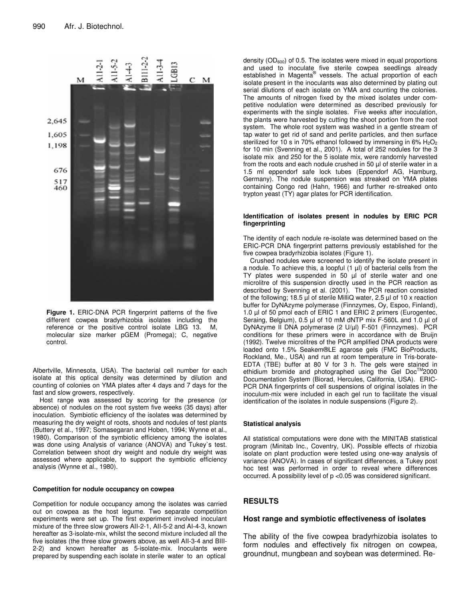

**Figure 1.** ERIC-DNA PCR fingerprint patterns of the five different cowpea bradyrhizobia isolates including the reference or the positive control isolate LBG 13. M, molecular size marker pGEM (Promega); C, negative control.

Albertville, Minnesota, USA). The bacterial cell number for each isolate at this optical density was determined by dilution and counting of colonies on YMA plates after 4 days and 7 days for the fast and slow growers, respectively.

Host range was assessed by scoring for the presence (or absence) of nodules on the root system five weeks (35 days) after inoculation. Symbiotic efficiency of the isolates was determined by measuring the dry weight of roots, shoots and nodules of test plants (Buttery et al., 1997; Somasegaran and Hoben, 1994; Wynne et al., 1980). Comparison of the symbiotic efficiency among the isolates was done using Analysis of variance (ANOVA) and Tukey`s test. Correlation between shoot dry weight and nodule dry weight was assessed where applicable, to support the symbiotic efficiency analysis (Wynne et al., 1980).

#### **Competition for nodule occupancy on cowpea**

Competition for nodule occupancy among the isolates was carried out on cowpea as the host legume. Two separate competition experiments were set up. The first experiment involved inoculant mixture of the three slow growers AII-2-1, AII-5-2 and AI-4-3, known hereafter as 3-isolate-mix, whilst the second mixture included all the five isolates (the three slow growers above, as well AII-3-4 and BIII-2-2) and known hereafter as 5-isolate-mix. Inoculants were prepared by suspending each isolate in sterile water to an optical

density ( $OD<sub>600</sub>$ ) of 0.5. The isolates were mixed in equal proportions and used to inoculate five sterile cowpea seedlings already established in Magenta® vessels. The actual proportion of each isolate present in the inoculants was also determined by plating out serial dilutions of each isolate on YMA and counting the colonies. The amounts of nitrogen fixed by the mixed isolates under competitive nodulation were determined as described previously for experiments with the single isolates. Five weeks after inoculation, the plants were harvested by cutting the shoot portion from the root system. The whole root system was washed in a gentle stream of tap water to get rid of sand and perlite particles, and then surface sterilized for 10 s in 70% ethanol followed by immersing in  $6\%$  H<sub>2</sub>O<sub>2</sub> for 10 min (Svenning et al., 2001). A total of 252 nodules for the 3 isolate mix and 250 for the 5 isolate mix, were randomly harvested from the roots and each nodule crushed in 50 µl of sterile water in a 1.5 ml eppendorf safe lock tubes (Eppendorf AG, Hamburg, Germany). The nodule suspension was streaked on YMA plates containing Congo red (Hahn, 1966) and further re-streaked onto trypton yeast (TY) agar plates for PCR identification.

#### **Identification of isolates present in nodules by ERIC PCR fingerprinting**

The identity of each nodule re-isolate was determined based on the ERIC-PCR DNA fingerprint patterns previously established for the five cowpea bradyrhizobia isolates (Figure 1).

Crushed nodules were screened to identify the isolate present in a nodule. To achieve this, a loopful (1 µl) of bacterial cells from the TY plates were suspended in 50 µl of sterile water and one microlitre of this suspension directly used in the PCR reaction as described by Svenning et al. (2001). The PCR reaction consisted of the following; 18.5 µl of sterile MilliQ water, 2.5 µl of 10 x reaction buffer for DyNAzyme polymerase (Finnzymes, Oy, Espoo, Finland), 1.0 µl of 50 pmol each of ERIC 1 and ERIC 2 primers (Eurogentec, Seraing, Belgium), 0.5 µl of 10 mM dNTP mix F-560L and 1.0 µl of DyNAzyme II DNA polymerase (2 U/µl) F-501 (Finnzymes). PCR conditions for these primers were in accordance with de Bruijn (1992). Twelve microlitres of the PCR amplified DNA products were loaded onto 1.5% Seakem®LE agarose gels (FMC BioProducts, Rockland, Me., USA) and run at room temperature in Tris-borate-EDTA (TBE) buffer at 80 V for 3 h. The gels were stained in ethidium bromide and photographed using the Gel Doc<sup>™</sup>2000 Documentation System (Biorad, Hercules, California, USA). ERIC-PCR DNA fingerprints of cell suspensions of original isolates in the inoculum-mix were included in each gel run to facilitate the visual identification of the isolates in nodule suspensions (Figure 2).

#### **Statistical analysis**

All statistical computations were done with the MINITAB statistical program (Minitab Inc., Coventry, UK). Possible effects of rhizobia isolate on plant production were tested using one-way analysis of variance (ANOVA). In cases of significant differences, a Tukey post hoc test was performed in order to reveal where differences occurred. A possibility level of p <0.05 was considered significant.

# **RESULTS**

#### **Host range and symbiotic effectiveness of isolates**

The ability of the five cowpea bradyrhizobia isolates to form nodules and effectively fix nitrogen on cowpea, groundnut, mungbean and soybean was determined. Re-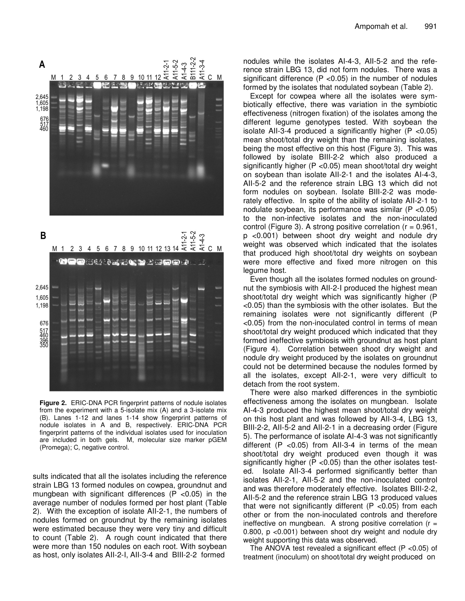B111-2-2 A  $A1$ M 1 2 3 4 5 6 7 8 9 10 11 12  $\overleftarrow{z}$  $\dot{A}$  $\overline{z}$ C M 2.645 1,605 1,198 676  $\frac{51}{460}$ 



**Figure 2.** ERIC-DNA PCR fingerprint patterns of nodule isolates from the experiment with a 5-isolate mix (A) and a 3-isolate mix (B). Lanes 1-12 and lanes 1-14 show fingerprint patterns of nodule isolates in A and B, respectively. ERIC-DNA PCR fingerprint patterns of the individual isolates used for inoculation are included in both gels. M, molecular size marker pGEM (Promega); C, negative control.

sults indicated that all the isolates including the reference strain LBG 13 formed nodules on cowpea, groundnut and mungbean with significant differences ( $P$  <0.05) in the average number of nodules formed per host plant (Table 2). With the exception of isolate AII-2-1, the numbers of nodules formed on groundnut by the remaining isolates were estimated because they were very tiny and difficult to count (Table 2). A rough count indicated that there were more than 150 nodules on each root. With soybean as host, only isolates AII-2-I, AII-3-4 and BIII-2-2 formed

nodules while the isolates AI-4-3, AII-5-2 and the reference strain LBG 13, did not form nodules. There was a significant difference  $(P < 0.05)$  in the number of nodules formed by the isolates that nodulated soybean (Table 2).

Except for cowpea where all the isolates were symbiotically effective, there was variation in the symbiotic effectiveness (nitrogen fixation) of the isolates among the different legume genotypes tested. With soybean the isolate AII-3-4 produced a significantly higher (P <0.05) mean shoot/total dry weight than the remaining isolates, being the most effective on this host (Figure 3). This was followed by isolate BIII-2-2 which also produced a significantly higher (P <0.05) mean shoot/total dry weight on soybean than isolate AII-2-1 and the isolates AI-4-3, AII-5-2 and the reference strain LBG 13 which did not form nodules on soybean. Isolate BIII-2-2 was moderately effective. In spite of the ability of isolate AII-2-1 to nodulate soybean, its performance was similar (P <0.05) to the non-infective isolates and the non-inoculated control (Figure 3). A strong positive correlation  $(r = 0.961,$ p <0.001) between shoot dry weight and nodule dry weight was observed which indicated that the isolates that produced high shoot/total dry weights on soybean were more effective and fixed more nitrogen on this legume host.

Even though all the isolates formed nodules on groundnut the symbiosis with AII-2-I produced the highest mean shoot/total dry weight which was significantly higher (P <0.05) than the symbiosis with the other isolates. But the remaining isolates were not significantly different (P <0.05) from the non-inoculated control in terms of mean shoot/total dry weight produced which indicated that they formed ineffective symbiosis with groundnut as host plant (Figure 4). Correlation between shoot dry weight and nodule dry weight produced by the isolates on groundnut could not be determined because the nodules formed by all the isolates, except AII-2-1, were very difficult to detach from the root system.

There were also marked differences in the symbiotic effectiveness among the isolates on mungbean. Isolate AI-4-3 produced the highest mean shoot/total dry weight on this host plant and was followed by AII-3-4, LBG 13, BIII-2-2, AII-5-2 and AII-2-1 in a decreasing order (Figure 5). The performance of isolate AI-4-3 was not significantly different  $(P < 0.05)$  from All-3-4 in terms of the mean shoot/total dry weight produced even though it was significantly higher ( $P$  <0.05) than the other isolates tested. Isolate AII-3-4 performed significantly better than isolates AII-2-1, AII-5-2 and the non-inoculated control and was therefore moderately effective. Isolates BIII-2-2, AII-5-2 and the reference strain LBG 13 produced values that were not significantly different  $(P < 0.05)$  from each other or from the non-inoculated controls and therefore ineffective on mungbean. A strong positive correlation  $(r =$ 0.800, p <0.001) between shoot dry weight and nodule dry weight supporting this data was observed.

The ANOVA test revealed a significant effect (P <0.05) of treatment (inoculum) on shoot/total dry weight produced on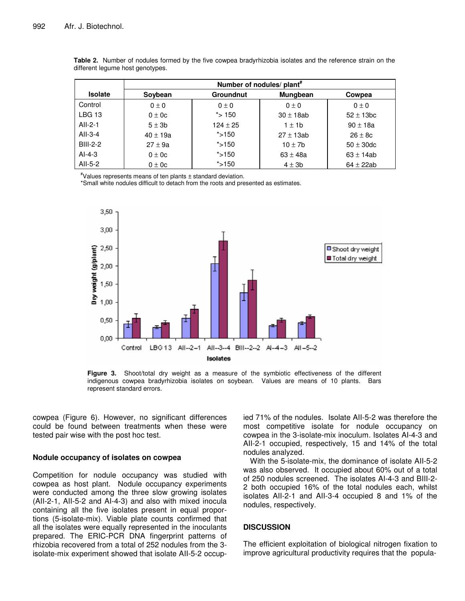|                | Number of nodules/ plant <sup>#</sup>          |              |                |                |  |  |
|----------------|------------------------------------------------|--------------|----------------|----------------|--|--|
| <b>Isolate</b> | <b>Groundnut</b><br><b>Mungbean</b><br>Soybean |              | Cowpea         |                |  |  |
| Control        | $0 \pm 0$                                      | $0 \pm 0$    | $0 \pm 0$      | $0 \pm 0$      |  |  |
| LBG 13         | $0 \pm 0c$                                     | $*$ > 150    | $30 \pm 18$ ab | $52 \pm 13$ bc |  |  |
| AII-2-1        | $5 \pm 3b$                                     | $124 \pm 25$ | $1 \pm 1$ b    | $90 \pm 18a$   |  |  |
| $All-3-4$      | $40 \pm 19a$                                   | $*$ > 150    | $27 \pm 13$ ab | $26 \pm 8c$    |  |  |
| BIII-2-2       | $27 \pm 9a$                                    | $*$ > 150    | $10 \pm 7$ b   | $50 \pm 30$ dc |  |  |
| $AI-4-3$       | $0 \pm 0c$                                     | $*$ > 150    | $63 \pm 48a$   | $63 \pm 14ab$  |  |  |
| AII-5-2        | $0 \pm 0c$                                     | $*$ >150     | $4 \pm 3b$     | $64 \pm 22ab$  |  |  |

|                                  |  |  | Table 2. Number of nodules formed by the five cowpea bradyrhizobia isolates and the reference strain on the |  |  |  |
|----------------------------------|--|--|-------------------------------------------------------------------------------------------------------------|--|--|--|
| different legume host genotypes. |  |  |                                                                                                             |  |  |  |

 $*$ Values represents means of ten plants  $\pm$  standard deviation.

\*Small white nodules difficult to detach from the roots and presented as estimates.

![](_page_4_Figure_5.jpeg)

**Figure 3.** Shoot/total dry weight as a measure of the symbiotic effectiveness of the different indigenous cowpea bradyrhizobia isolates on soybean. Values are means of 10 plants. Bars represent standard errors.

cowpea (Figure 6). However, no significant differences could be found between treatments when these were tested pair wise with the post hoc test.

#### **Nodule occupancy of isolates on cowpea**

Competition for nodule occupancy was studied with cowpea as host plant. Nodule occupancy experiments were conducted among the three slow growing isolates (AII-2-1, AII-5-2 and AI-4-3) and also with mixed inocula containing all the five isolates present in equal proportions (5-isolate-mix). Viable plate counts confirmed that all the isolates were equally represented in the inoculants prepared. The ERIC-PCR DNA fingerprint patterns of rhizobia recovered from a total of 252 nodules from the 3 isolate-mix experiment showed that isolate AII-5-2 occupied 71% of the nodules. Isolate AII-5-2 was therefore the most competitive isolate for nodule occupancy on cowpea in the 3-isolate-mix inoculum. Isolates AI-4-3 and AII-2-1 occupied, respectively, 15 and 14% of the total nodules analyzed.

With the 5-isolate-mix, the dominance of isolate AII-5-2 was also observed. It occupied about 60% out of a total of 250 nodules screened. The isolates AI-4-3 and BIII-2- 2 both occupied 16% of the total nodules each, whilst isolates AII-2-1 and AII-3-4 occupied 8 and 1% of the nodules, respectively.

# **DISCUSSION**

The efficient exploitation of biological nitrogen fixation to improve agricultural productivity requires that the popula-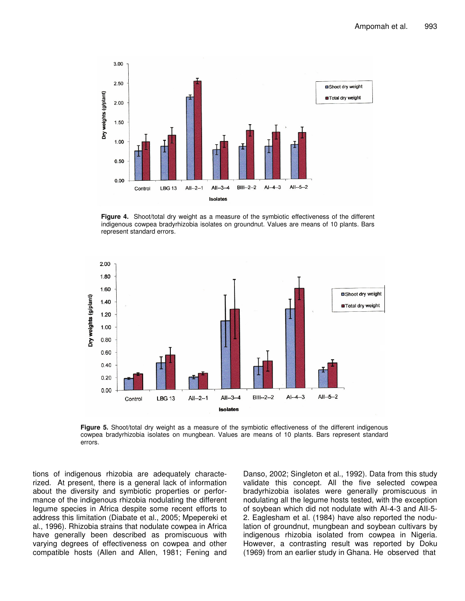![](_page_5_Figure_1.jpeg)

**Figure 4.** Shoot/total dry weight as a measure of the symbiotic effectiveness of the different indigenous cowpea bradyrhizobia isolates on groundnut. Values are means of 10 plants. Bars represent standard errors.

![](_page_5_Figure_3.jpeg)

**Figure 5.** Shoot/total dry weight as a measure of the symbiotic effectiveness of the different indigenous cowpea bradyrhizobia isolates on mungbean. Values are means of 10 plants. Bars represent standard errors.

tions of indigenous rhizobia are adequately characterized. At present, there is a general lack of information about the diversity and symbiotic properties or performance of the indigenous rhizobia nodulating the different legume species in Africa despite some recent efforts to address this limitation (Diabate et al., 2005; Mpepereki et al., 1996). Rhizobia strains that nodulate cowpea in Africa have generally been described as promiscuous with varying degrees of effectiveness on cowpea and other compatible hosts (Allen and Allen, 1981; Fening and

Danso, 2002; Singleton et al., 1992). Data from this study validate this concept. All the five selected cowpea bradyrhizobia isolates were generally promiscuous in nodulating all the legume hosts tested, with the exception of soybean which did not nodulate with AI-4-3 and AII-5- 2. Eaglesham et al. (1984) have also reported the nodulation of groundnut, mungbean and soybean cultivars by indigenous rhizobia isolated from cowpea in Nigeria. However, a contrasting result was reported by Doku (1969) from an earlier study in Ghana. He observed that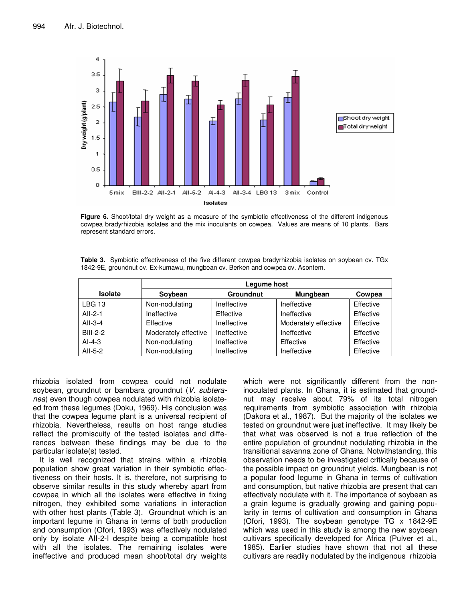![](_page_6_Figure_1.jpeg)

**Figure 6.** Shoot/total dry weight as a measure of the symbiotic effectiveness of the different indigenous cowpea bradyrhizobia isolates and the mix inoculants on cowpea. Values are means of 10 plants. Bars represent standard errors.

| <b>Table 3.</b> Symbiotic effectiveness of the five different cowpea bradyrhizobia isolates on soybean cv. TGx |  |
|----------------------------------------------------------------------------------------------------------------|--|
| 1842-9E, groundnut cv. Ex-kumawu, mungbean cv. Berken and cowpea cv. Asontem.                                  |  |

|                 | Legume host                 |             |                      |           |  |  |
|-----------------|-----------------------------|-------------|----------------------|-----------|--|--|
| <b>Isolate</b>  | <b>Groundnut</b><br>Soybean |             | <b>Mungbean</b>      | Cowpea    |  |  |
| <b>LBG 13</b>   | Non-nodulating              | Ineffective | Ineffective          | Effective |  |  |
| $All-2-1$       | Ineffective                 | Effective   | Ineffective          | Effective |  |  |
| $All-3-4$       | Effective                   | Ineffective | Moderately effective | Effective |  |  |
| <b>BIII-2-2</b> | Moderately effective        | Ineffective | Ineffective          | Effective |  |  |
| $AI-4-3$        | Non-nodulating              | Ineffective | Effective            | Effective |  |  |
| All-5-2         | Non-nodulating              | Ineffective | Ineffective          | Effective |  |  |

rhizobia isolated from cowpea could not nodulate soybean, groundnut or bambara groundnut (*V. subteranea*) even though cowpea nodulated with rhizobia isolateed from these legumes (Doku, 1969). His conclusion was that the cowpea legume plant is a universal recipient of rhizobia. Nevertheless, results on host range studies reflect the promiscuity of the tested isolates and differences between these findings may be due to the particular isolate(s) tested.

It is well recognized that strains within a rhizobia population show great variation in their symbiotic effectiveness on their hosts. It is, therefore, not surprising to observe similar results in this study whereby apart from cowpea in which all the isolates were effective in fixing nitrogen, they exhibited some variations in interaction with other host plants (Table 3). Groundnut which is an important legume in Ghana in terms of both production and consumption (Ofori, 1993) was effectively nodulated only by isolate AII-2-I despite being a compatible host with all the isolates. The remaining isolates were ineffective and produced mean shoot/total dry weights which were not significantly different from the noninoculated plants. In Ghana, it is estimated that groundnut may receive about 79% of its total nitrogen requirements from symbiotic association with rhizobia (Dakora et al., 1987). But the majority of the isolates we tested on groundnut were just ineffective. It may likely be that what was observed is not a true reflection of the entire population of groundnut nodulating rhizobia in the transitional savanna zone of Ghana. Notwithstanding, this observation needs to be investigated critically because of the possible impact on groundnut yields. Mungbean is not a popular food legume in Ghana in terms of cultivation and consumption, but native rhizobia are present that can effectively nodulate with it. The importance of soybean as a grain legume is gradually growing and gaining popularity in terms of cultivation and consumption in Ghana (Ofori, 1993). The soybean genotype TG x 1842-9E which was used in this study is among the new soybean cultivars specifically developed for Africa (Pulver et al., 1985). Earlier studies have shown that not all these cultivars are readily nodulated by the indigenous rhizobia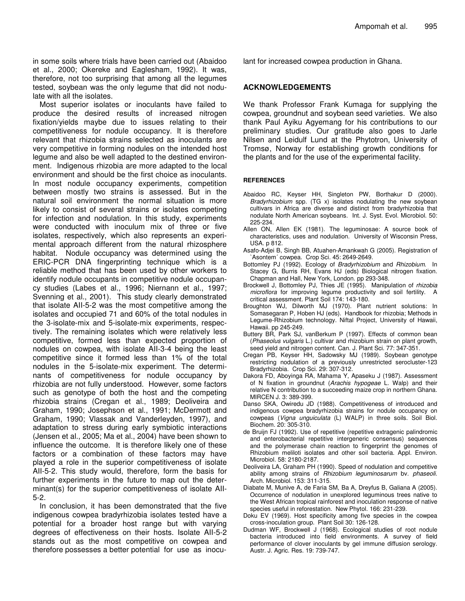in some soils where trials have been carried out (Abaidoo et al., 2000; Okereke and Eaglesham, 1992). It was, therefore, not too surprising that among all the legumes tested, soybean was the only legume that did not nodulate with all the isolates.

Most superior isolates or inoculants have failed to produce the desired results of increased nitrogen fixation/yields maybe due to issues relating to their competitiveness for nodule occupancy. It is therefore relevant that rhizobia strains selected as inoculants are very competitive in forming nodules on the intended host legume and also be well adapted to the destined environment. Indigenous rhizobia are more adapted to the local environment and should be the first choice as inoculants. In most nodule occupancy experiments, competition between mostly two strains is assessed. But in the natural soil environment the normal situation is more likely to consist of several strains or isolates competing for infection and nodulation. In this study, experiments were conducted with inoculum mix of three or five isolates, respectively, which also represents an experimental approach different from the natural rhizosphere habitat. Nodule occupancy was determined using the ERIC-PCR DNA fingerprinting technique which is a reliable method that has been used by other workers to identify nodule occupants in competitive nodule occupancy studies (Labes et al., 1996; Niernann et al., 1997; Svenning et al., 2001). This study clearly demonstrated that isolate AII-5-2 was the most competitive among the isolates and occupied 71 and 60% of the total nodules in the 3-isolate-mix and 5-isolate-mix experiments, respectively. The remaining isolates which were relatively less competitive, formed less than expected proportion of nodules on cowpea, with isolate AII-3-4 being the least competitive since it formed less than 1% of the total nodules in the 5-isolate-mix experiment. The determinants of competitiveness for nodule occupancy by rhizobia are not fully understood. However, some factors such as genotype of both the host and the competing rhizobia strains (Cregan et al., 1989; Deoliveira and Graham, 1990; Josephson et al., 1991; McDermott and Graham, 1990; Vlassak and Vanderleyden, 1997), and adaptation to stress during early symbiotic interactions (Jensen et al., 2005; Ma et al., 2004) have been shown to influence the outcome. It is therefore likely one of these factors or a combination of these factors may have played a role in the superior competitiveness of isolate AII-5-2. This study would, therefore, form the basis for further experiments in the future to map out the determinant(s) for the superior competitiveness of isolate AII-5-2.

In conclusion, it has been demonstrated that the five indigenous cowpea bradyrhizobia isolates tested have a potential for a broader host range but with varying degrees of effectiveness on their hosts. Isolate AII-5-2 stands out as the most competitive on cowpea and therefore possesses a better potential for use as inoculant for increased cowpea production in Ghana.

# **ACKNOWLEDGEMENTS**

We thank Professor Frank Kumaga for supplying the cowpea, groundnut and soybean seed varieties. We also thank Paul Ayiku Agyemang for his contributions to our preliminary studies. Our gratitude also goes to Jarle Nilsen and Leidulf Lund at the Phytotron, University of Tromsø, Norway for establishing growth conditions for the plants and for the use of the experimental facility.

### **REFERENCES**

- Abaidoo RC, Keyser HH, Singleton PW, Borthakur D (2000). *Bradyrhizobium* spp. (TG x) isolates nodulating the new soybean cultivars in Africa are diverse and distinct from bradyrhizobia that nodulate North American soybeans. Int. J. Syst. Evol. Microbiol. 50: 225-234.
- Allen ON, Allen EK (1981). The leguminosae: A source book of characteristics, uses and nodulation. University of Wisconsin Press, USA. p 812.
- Asafo-Adjei B, Singh BB, Atuahen-Amankwah G (2005). Registration of `Asontem´ cowpea. Crop Sci. 45: 2649-2649.
- Bottomley PJ (1992). Ecology of *Bradyrhizobium* and *Rhizobium*. In Stacey G, Burris RH, Evans HJ (eds) Biological nitrogen fixation. Chapman and Hall, New York, London. pp 293-348.
- Brockwell J, Bottomley PJ, Thies JE (1995). Manipulation of *rhizobia microflora* for improving legume productivity and soil fertility. A critical assessment. Plant Soil 174: 143-180.
- Broughton WJ, Dilworth MJ (1970). Plant nutrient solutions: In Somasegaran P, Hoben HJ (eds). Handbook for rhizobia; Methods in Legume-Rhizobium technology. Niftal Project, University of Hawaii, Hawaii. pp 245-249.
- Buttery BR, Park SJ, vanBerkum P (1997). Effects of common bean (*Phaseolus vulgaris* L.) cultivar and rhizobium strain on plant growth, seed yield and nitrogen content. Can. J. Plant Sci. 77: 347-351.
- Cregan PB, Keyser HH, Sadowsky MJ (1989). Soybean genotype restricting nodulation of a previously unrestricted serocluster-123 Bradyrhizobia. Crop Sci. 29: 307-312.
- Dakora FD, Aboyinga RA, Mahama Y, Apaseku J (1987). Assessment of N fixation in groundnut (*Arachis hypogeae* L. Walp) and their relative N contribution to a succeeding maize crop in northern Ghana. MIRCEN J. 3: 389-399.
- Danso SKA, Owiredu JD (1988). Competitiveness of introduced and indigenous cowpea bradyrhizobia strains for nodule occupancy on cowpeas (*Vigna unguiculata* (L) WALP) in three soils. Soil Biol. Biochem. 20: 305-310.
- de Bruijn FJ (1992). Use of repetitive (repetitive extragenic palindromic and enterobacterial repetitive intergeneric consensus) sequences and the polymerase chain reaction to fingerprint the genomes of Rhizobium meliloti isolates and other soil bacteria. Appl. Environ. Microbiol. 58: 2180-2187.
- Deoliveira LA, Graham PH (1990). Speed of nodulation and competitive ability among strains of *Rhizobium leguminosarum* bv. *phaseoli*. Arch. Microbiol. 153: 311-315.
- Diabate M, Munive A, de Faria SM, Ba A, Dreyfus B, Galiana A (2005). Occurrence of nodulation in unexplored leguminous trees native to the West African tropical rainforest and inoculation response of native species useful in reforestation. New Phytol. 166: 231-239.
- Doku EV (1969). Host specificity among five species in the cowpea cross-inoculation group. Plant Soil 30: 126-128.
- Dudman WF, Brockwell J (1968). Ecological studies of root nodule bacteria introduced into field environments. A survey of field performance of clover inoculants by gel immune diffusion serology. Austr. J. Agric. Res. 19: 739-747.